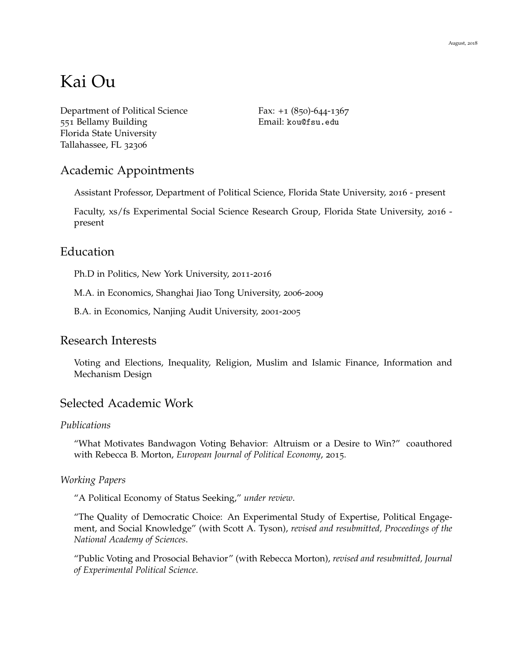# Kai Ou

[Department of Political Science](http://http://coss.fsu.edu/polisci/?q=node/1) 551 Bellamy Building [Florida State University](http://www.fsu.edu/) Tallahassee, FL 32306

Fax:  $+1$  (850)-644-1367 Email: [kou@fsu.edu](mailto:kou@fsu.edu)

# Academic Appointments

Assistant Professor, Department of Political Science, Florida State University, 2016 - present

Faculty, xs/fs Experimental Social Science Research Group, Florida State University, 2016 present

# Education

Ph.D in Politics, New York University, 2011-2016

M.A. in Economics, Shanghai Jiao Tong University, 2006-2009

B.A. in Economics, Nanjing Audit University, 2001-2005

# Research Interests

Voting and Elections, Inequality, Religion, Muslim and Islamic Finance, Information and Mechanism Design

# Selected Academic Work

#### *Publications*

"What Motivates Bandwagon Voting Behavior: Altruism or a Desire to Win?" coauthored with Rebecca B. Morton, *European Journal of Political Economy*, 2015.

#### *Working Papers*

"A Political Economy of Status Seeking," *under review*.

"The Quality of Democratic Choice: An Experimental Study of Expertise, Political Engagement, and Social Knowledge" (with Scott A. Tyson), *revised and resubmitted, Proceedings of the National Academy of Sciences*.

"Public Voting and Prosocial Behavior" (with Rebecca Morton), *revised and resubmitted, Journal of Experimental Political Science*.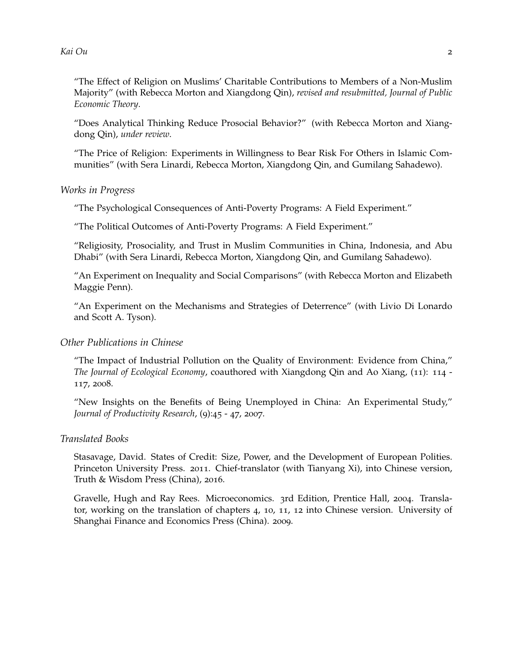"The Effect of Religion on Muslims' Charitable Contributions to Members of a Non-Muslim Majority" (with Rebecca Morton and Xiangdong Qin), *revised and resubmitted, Journal of Public Economic Theory*.

"Does Analytical Thinking Reduce Prosocial Behavior?" (with Rebecca Morton and Xiangdong Qin), *under review*.

"The Price of Religion: Experiments in Willingness to Bear Risk For Others in Islamic Communities" (with Sera Linardi, Rebecca Morton, Xiangdong Qin, and Gumilang Sahadewo).

*Works in Progress*

"The Psychological Consequences of Anti-Poverty Programs: A Field Experiment."

"The Political Outcomes of Anti-Poverty Programs: A Field Experiment."

"Religiosity, Prosociality, and Trust in Muslim Communities in China, Indonesia, and Abu Dhabi" (with Sera Linardi, Rebecca Morton, Xiangdong Qin, and Gumilang Sahadewo).

"An Experiment on Inequality and Social Comparisons" (with Rebecca Morton and Elizabeth Maggie Penn).

"An Experiment on the Mechanisms and Strategies of Deterrence" (with Livio Di Lonardo and Scott A. Tyson).

#### *Other Publications in Chinese*

"The Impact of Industrial Pollution on the Quality of Environment: Evidence from China," *The Journal of Ecological Economy*, coauthored with Xiangdong Qin and Ao Xiang, (11): 114 - 117, 2008.

"New Insights on the Benefits of Being Unemployed in China: An Experimental Study," *Journal of Productivity Research*, (9):45 - 47, 2007.

#### *Translated Books*

Stasavage, David. States of Credit: Size, Power, and the Development of European Polities. Princeton University Press. 2011. Chief-translator (with Tianyang Xi), into Chinese version, Truth & Wisdom Press (China), 2016.

Gravelle, Hugh and Ray Rees. Microeconomics. 3rd Edition, Prentice Hall, 2004. Translator, working on the translation of chapters 4, 10, 11, 12 into Chinese version. University of Shanghai Finance and Economics Press (China). 2009.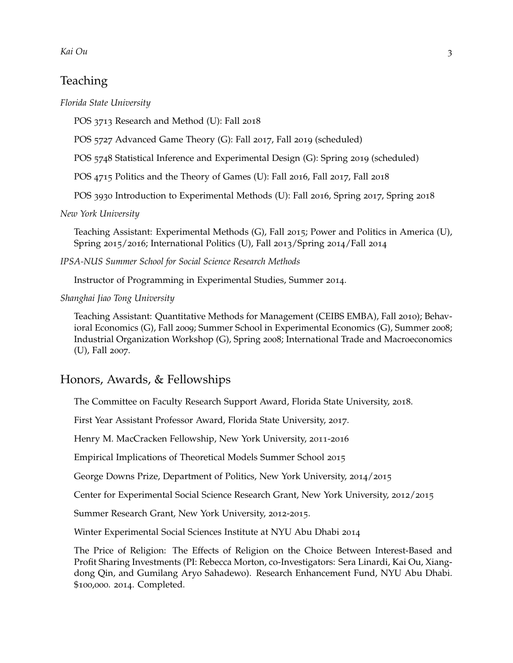# *Kai Ou* 3

# Teaching

*Florida State University*

POS 3713 Research and Method (U): Fall 2018

POS 5727 Advanced Game Theory (G): Fall 2017, Fall 2019 (scheduled)

POS 5748 Statistical Inference and Experimental Design (G): Spring 2019 (scheduled)

POS 4715 Politics and the Theory of Games (U): Fall 2016, Fall 2017, Fall 2018

POS 3930 Introduction to Experimental Methods (U): Fall 2016, Spring 2017, Spring 2018

*New York University*

Teaching Assistant: Experimental Methods (G), Fall 2015; Power and Politics in America (U), Spring 2015/2016; International Politics (U), Fall 2013/Spring 2014/Fall 2014

*IPSA-NUS Summer School for Social Science Research Methods*

Instructor of Programming in Experimental Studies, Summer 2014.

*Shanghai Jiao Tong University*

Teaching Assistant: [Quantitative Methods for Management](http://pages.uoregon.edu/yfang/) (CEIBS EMBA), Fall 2010); [Behav](https://www.cmu.edu/dietrich/sds/people/faculty/george-loewenstein.html)[ioral Economics](https://www.cmu.edu/dietrich/sds/people/faculty/george-loewenstein.html) (G), Fall 2009; [Summer School in Experimental Economics](http://yanchen.people.si.umich.edu/) (G), Summer 2008; [Industrial Organization Workshop](http://scholar.harvard.edu/hart) (G), Spring 2008; [International Trade and Macroeconomics](http://www.acem.sjtu.edu.cn/jszy_en/template1.jsp?teacheroid=teacher.8814) (U), Fall 2007.

# Honors, Awards, & Fellowships

The Committee on Faculty Research Support Award, Florida State University, 2018.

First Year Assistant Professor Award, Florida State University, 2017.

Henry M. MacCracken Fellowship, New York University, 2011-2016

Empirical Implications of Theoretical Models Summer School 2015

George Downs Prize, Department of Politics, New York University, 2014/2015

Center for Experimental Social Science Research Grant, New York University, 2012/2015

Summer Research Grant, New York University, 2012-2015.

Winter Experimental Social Sciences Institute at NYU Abu Dhabi 2014

The Price of Religion: The Effects of Religion on the Choice Between Interest-Based and Profit Sharing Investments (PI: Rebecca Morton, co-Investigators: Sera Linardi, Kai Ou, Xiangdong Qin, and Gumilang Aryo Sahadewo). Research Enhancement Fund, NYU Abu Dhabi. \$100,000. 2014. Completed.